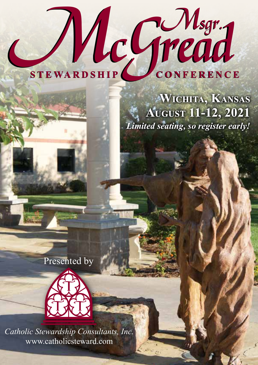# STEWARDSHIP CONFERENCE

*Limited seating, so register early!* **Wichita, Kansas August 11-12, 2021**

Presented by



*Msgr. Thomas McGread Catholic Stewardship Consultants, Inc.* www.catholicsteward.com

*Stewardship a Way of Life*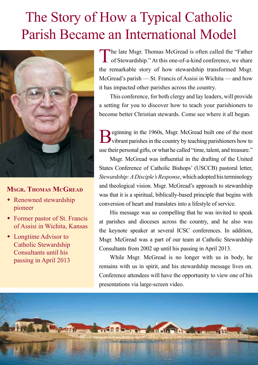# The Story of How a Typical Catholic Parish Became an International Model



#### **Msgr. Thomas McGread**

- Renowned stewardship pioneer
- Former pastor of St. Francis of Assisi in Wichita, Kansas
- $\bullet$  Longtime Advisor to Catholic Stewardship Consultants until his passing in April 2013

The late Msgr. Thomas McGread is often called the "Father" **L** of Stewardship." At this one-of-a-kind conference, we share the remarkable story of how stewardship transformed Msgr. McGread's parish — St. Francis of Assisi in Wichita — and how it has impacted other parishes across the country.

This conference, for both clergy and lay leaders, will provide a setting for you to discover how to teach your parishioners to become better Christian stewards. Come see where it all began.

eginning in the 1960s, Msgr. McGread built one of the most vibrant parishes in the country by teaching parishioners how to use their personal gifts, or what he called "time, talent, and treasure."

 Msgr. McGread was influential in the drafting of the United States Conference of Catholic Bishops' (USCCB) pastoral letter, *Stewardship: A Disciple's Response*, which adopted his terminology and theological vision. Msgr. McGread's approach to stewardship was that it is a spiritual, biblically-based principle that begins with conversion of heart and translates into a lifestyle of service.

His message was so compelling that he was invited to speak at parishes and dioceses across the country, and he also was the keynote speaker at several ICSC conferences. In addition, Msgr. McGread was a part of our team at Catholic Stewardship Consultants from 2002 up until his passing in April 2013.

While Msgr. McGread is no longer with us in body, he remains with us in spirit, and his stewardship message lives on. Conference attendees will have the opportunity to view one of his presentations via large-screen video.

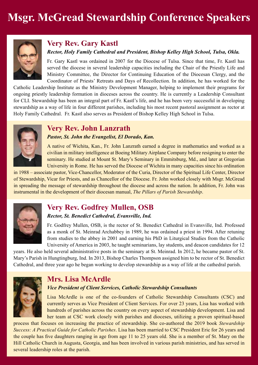# **Msgr. McGread Stewardship Conference Speakers**



#### **Very Rev. Gary Kastl**

#### *Rector, Holy Family Cathedral and President, Bishop Kelley High School, Tulsa, Okla.*

Fr. Gary Kastl was ordained in 2007 for the Diocese of Tulsa. Since that time, Fr. Kastl has served the diocese in several leadership capacities including the Chair of the Priestly Life and Ministry Committee, the Director for Continuing Education of the Diocesan Clergy, and the Coordinator of Priests' Retreats and Days of Recollection. In addition, he has worked for the

Catholic Leadership Institute as the Ministry Development Manager, helping to implement their programs for ongoing priestly leadership formation in dioceses across the country. He is currently a Leadership Consultant for CLI. Stewardship has been an integral part of Fr. Kastl's life, and he has been very successful in developing stewardship as a way of life in four different parishes, including his most recent pastoral assignment as rector at Holy Family Cathedral. Fr. Kastl also serves as President of Bishop Kelley High School in Tulsa.

#### **Very Rev. John Lanzrath**

#### *Pastor, St. John the Evangelist, El Dorado, Kan.*

A native of Wichita, Kan., Fr. John Lanzrath earned a degree in mathematics and worked as a civilian in military intelligence at Boeing Military Airplane Company before resigning to enter the seminary. He studied at Mount St. Mary's Seminary in Emmitsburg, Md., and later at Gregorian University in Rome. He has served the Diocese of Wichita in many capacities since his ordination

in 1988 – associate pastor, Vice-Chancellor, Moderator of the Curia, Director of the Spiritual Life Center, Director of Stewardship, Vicar for Priests, and as Chancellor of the Diocese. Fr. John worked closely with Msgr. McGread in spreading the message of stewardship throughout the diocese and across the nation. In addition, Fr. John was instrumental in the development of their diocesan manual, *The Pillars of Parish Stewardship*.



#### **Very Rev. Godfrey Mullen, OSB**

#### *Rector, St. Benedict Cathedral, Evansville, Ind.*

Fr. Godfrey Mullen, OSB, is the rector of St. Benedict Cathedral in Evansville, Ind. Professed as a monk of St. Meinrad Archabbey in 1989, he was ordained a priest in 1994. After retuning from studies to the abbey in 2001 and earning his PhD in Liturgical Studies from the Catholic University of America in 2003, he taught seminarians, lay students, and deacon candidates for 12

years. He also held several administrative posts in the seminary at St. Meinrad. In 2012, he became pastor of St. Mary's Parish in Hungtingburg, Ind. In 2013, Bishop Charles Thompson assigned him to be rector of St. Benedict Cathedral, and three year ago he began working to develop stewardship as a way of life at the cathedral parish.



#### **Mrs. Lisa McArdle**

#### *Vice President of Client Services, Catholic Stewardship Consultants*

Lisa McArdle is one of the co-founders of Catholic Stewardship Consultants (CSC) and currently serves as Vice President of Client Services. For over 23 years, Lisa has worked with hundreds of parishes across the country on every aspect of stewardship development. Lisa and her team at CSC work closely with parishes and dioceses, utilizing a proven spiritual-based

process that focuses on increasing the practice of stewardship. She co-authored the 2019 book *Stewardship Success: A Practical Guide for Catholic Parishes*. Lisa has been married to CSC President Eric for 26 years and the couple has five daughters ranging in age from age 11 to 25 years old. She is a member of St. Mary on the Hill Catholic Church in Augusta, Georgia, and has been involved in various parish ministries, and has served in several leadership roles at the parish.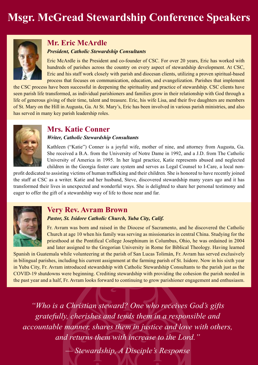

#### **Mr. Eric McArdle** *President, Catholic Stewardship Consultants*

Eric McArdle is the President and co-founder of CSC. For over 20 years, Eric has worked with hundreds of parishes across the country on every aspect of stewardship development. At CSC, Eric and his staff work closely with parish and diocesan clients, utilizing a proven spiritual-based process that focuses on communication, education, and evangelization. Parishes that implement

the CSC process have been successful in deepening the spirituality and practice of stewardship. CSC clients have seen parish life transformed, as individual parishioners and families grow in their relationship with God through a life of generous giving of their time, talent and treasure. Eric, his wife Lisa, and their five daughters are members of St. Mary on the Hill in Augusta, Ga. At St. Mary's, Eric has been involved in various parish ministries, and also has served in many key parish leadership roles.



#### **Mrs. Katie Conner**

#### *Writer, Catholic Stewardship Consultants*

Kathleen ("Katie") Conner is a joyful wife, mother of nine, and attorney from Augusta, Ga. She received a B.A. from the University of Notre Dame in 1992, and a J.D. from The Catholic University of America in 1995. In her legal practice, Katie represents abused and neglected children in the Georgia foster care system and serves as Legal Counsel to I-Care, a local non-

profit dedicated to assisting victims of human trafficking and their children. She is honored to have recently joined the staff at CSC as a writer. Katie and her husband, Steve, discovered stewardship many years ago and it has transformed their lives in unexpected and wonderful ways. She is delighted to share her personal testimony and eager to offer the gift of a stewardship way of life to those near and far.



#### **Very Rev. Avram Brown**

#### *Pastor, St. Isidore Catholic Church, Yuba City, Calif.*

Fr. Avram was born and raised in the Diocese of Sacramento, and he discovered the Catholic Church at age 10 when his family was serving as missionaries in central China. Studying for the priesthood at the Pontifical College Josephinum in Columbus, Ohio, he was ordained in 2004 and later assigned to the Gregorian University in Rome for Biblical Theology. Having learned

Spanish in Guatemala while volunteering at the parish of San Lucas Tolimán, Fr. Avram has served exclusively in bilingual parishes, including his current assignment at the farming parish of St. Isidore. Now in his sixth year in Yuba City, Fr. Avram introduced stewardship with Catholic Stewardship Consultants to the parish just as the COVID-19 shutdowns were beginning. Crediting stewardship with providing the cohesion the parish needed in the past year and a half, Fr. Avram looks forward to continuing to grow parishioner engagement and enthusiasm.

*"Who is a Christian steward? One who receives God's gifts gratefully, cherishes and tends them in a responsible and accountable manner, shares them in justice and love with others, and returns them with increase to the Lord."*

*— Stewardship, A Disciple's Response*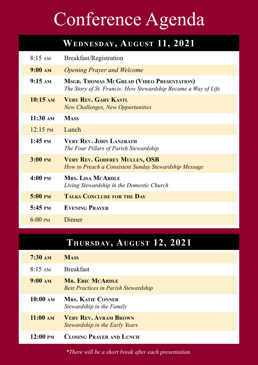# Conference Agenda

# **Wednesday, August 11, 2021**

| $8:15 \text{ AM}$           | Breakfast/Registration                                                                                             |
|-----------------------------|--------------------------------------------------------------------------------------------------------------------|
| $9:00 \text{ AM}$           | <b>Opening Prayer and Welcome</b>                                                                                  |
| $9:15 \text{ AM}$           | <b>MSGR. THOMAS MCGREAD (VIDEO PRESENTATION)</b><br>The Story of St. Francis: How Stewardship Became a Way of Life |
| $10:15 \text{ AM}$          | <b>VERY REV. GARY KASTL</b><br><b>New Challenges, New Opportunities</b>                                            |
| $11:30 \text{ am}$          | <b>MASS</b>                                                                                                        |
| $12:15 \text{ }^{\circ}$ PM | Lunch                                                                                                              |
| $1:45$ PM                   | <b>VERY REV. JOHN LANZRATH</b><br>The Four Pillars of Parish Stewardship                                           |
| $3:00 \text{ }$ PM          | <b>VERY REV. GODFREY MULLEN, OSB</b><br>How to Preach a Consistent Sunday Stewardship Message                      |
| $4:00 \text{ } \text{PM}$   | <b>MRS. LISA MCARDLE</b><br>Living Stewardship in the Domestic Church                                              |
| $5:00 \text{ } \text{PM}$   | <b>TALKS CONCLUDE FOR THE DAY</b>                                                                                  |
| $5:45 \text{ }^{\circ}$ PM  | <b>EVENING PRAYER</b>                                                                                              |
| $6:00 \text{ PM}$           | Dinner                                                                                                             |

## **Thursday, August 12, 2021**

| $7:30 \text{ AM}$ | <b>MASS</b> |
|-------------------|-------------|
|-------------------|-------------|

- 8:15 am Breakfast
- **9:00 am Mr. Eric McArdle** *Best Practices in Parish Stewardship*
- **10:00 am Mrs. Katie Conner** *Stewardship in the Family*
- **11:00 am Very Rev. Avram Brown** *Stewardship in the Early Years*
- **12:00 pm Closing Prayer and Lunch**

*\*There will be a short break after each presentation.*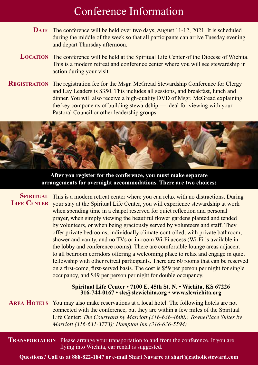# Conference Information

- DATE The conference will be held over two days, August 11-12, 2021. It is scheduled during the middle of the week so that all participants can arrive Tuesday evening and depart Thursday afternoon.
- LOCATION The conference will be held at the Spiritual Life Center of the Diocese of Wichita. This is a modern retreat and conference center where you will see stewardship in action during your visit.
- **REGISTRATION** The registration fee for the Msgr. McGread Stewardship Conference for Clergy and Lay Leaders is \$350. This includes all sessions, and breakfast, lunch and dinner. You will also receive a high-quality DVD of Msgr. McGread explaining the key components of building stewardship — ideal for viewing with your Pastoral Council or other leadership groups.



**After you register for the conference, you must make separate arrangements for overnight accommodations. There are two choices:**

SPIRITUAL This is a modern retreat center where you can relax with no distractions. During LIFE CENTER your stay at the Spiritual Life Center, you will experience stewardship at work when spending time in a chapel reserved for quiet reflection and personal prayer, when simply viewing the beautiful flower gardens planted and tended by volunteers, or when being graciously served by volunteers and staff. They offer private bedrooms, individually climate-controlled, with private bathroom, shower and vanity, and no TVs or in-room Wi-Fi access (Wi-Fi is available in the lobby and conference rooms). There are comfortable lounge areas adjacent to all bedroom corridors offering a welcoming place to relax and engage in quiet fellowship with other retreat participants. There are 60 rooms that can be reserved on a first-come, first-served basis. The cost is \$59 per person per night for single occupancy, and \$49 per person per night for double occupancy.

#### **Spiritual Life Center • 7100 E. 45th St. N. • Wichita, KS 67226 316-744-0167 • slc@slcwichita.org • www.slcwichita.org**

AREA HOTELS You may also make reservations at a local hotel. The following hotels are not connected with the conference, but they are within a few miles of the Spiritual Life Center: *The Courtyard by Marriott (316-636-4600); TownePlace Suites by Marriott (316-631-3773); Hampton Inn (316-636-5594)*

**TRANSPORTATION** Please arrange your transportation to and from the conference. If you are flying into Wichita, car rental is suggested.

**Questions? Call us at 888-822-1847 or e-mail Shari Navarre at shari@catholicsteward.com**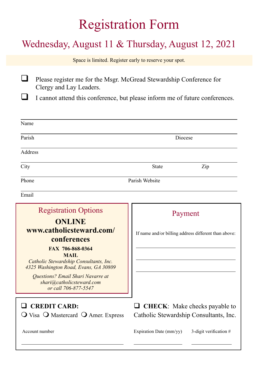# Registration Form

# Wednesday, August 11 & Thursday, August 12, 2021

Space is limited. Register early to reserve your spot.

**Q** Please register me for the Msgr. McGread Stewardship Conference for Clergy and Lay Leaders.

 $\Box$  I cannot attend this conference, but please inform me of future conferences.

| Name                                                                                                                                                                                                   |                                                                                     |  |
|--------------------------------------------------------------------------------------------------------------------------------------------------------------------------------------------------------|-------------------------------------------------------------------------------------|--|
| Parish                                                                                                                                                                                                 | Diocese                                                                             |  |
| Address                                                                                                                                                                                                |                                                                                     |  |
| City                                                                                                                                                                                                   | Zip<br><b>State</b>                                                                 |  |
| Parish Website<br>Phone                                                                                                                                                                                |                                                                                     |  |
| Email                                                                                                                                                                                                  |                                                                                     |  |
| <b>Registration Options</b><br><b>ONLINE</b><br>www.catholicsteward.com/<br>conferences<br>FAX 706-868-0364<br>MAIL<br>Catholic Stewardship Consultants, Inc.<br>4325 Washington Road, Evans, GA 30809 | Payment<br>If name and/or billing address different than above:                     |  |
| <b>Questions?</b> Email Shari Navarre at<br>shari@catholicsteward.com<br>or call 706-877-5547                                                                                                          |                                                                                     |  |
| <b>CREDIT CARD:</b><br>$\overline{O}$ Visa $\overline{O}$ Mastercard $\overline{O}$ Amer. Express                                                                                                      | <b>CHECK:</b> Make checks payable to<br>u<br>Catholic Stewardship Consultants, Inc. |  |
| Account number                                                                                                                                                                                         | Expiration Date (mm/yy)<br>3-digit verification $#$                                 |  |